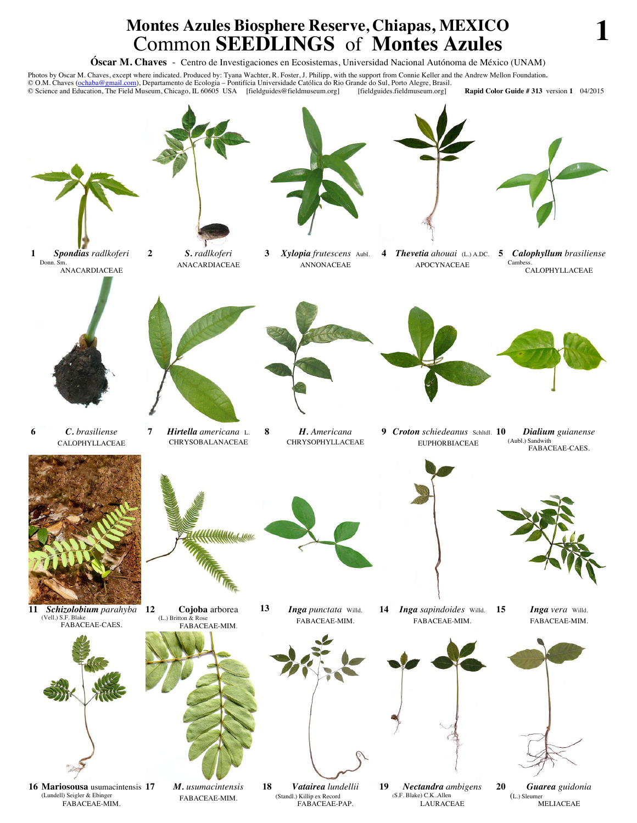## **Montes Azules Biosphere Reserve, Chiapas, MEXICO** Common **SEEDLINGS** of **Montes Azules 1**

**Óscar M. Chaves** - Centro de Investigaciones en Ecosistemas, Universidad Nacional Autónoma de México (UNAM)

Photos by Oscar M. Chaves, except where indicated. Produced by: Tyana Wachter, R. Foster, J. Philipp, with the support from Connie Keller and the Andrew Mellon Foundation.<br>© O.M. Chaves (ochaba@gmail.com), Departamento de © Science and Education, The Field Museum, Chicago, IL 60605 USA [fieldguides@fieldmuseum.org] [fieldguides.fieldmuseum.org] **Rapid Color Guide # 313** version **1** 04/2015



FABACEAE-PAP.

FABACEAE-MIM.

MELIACEAE

LAURACEAE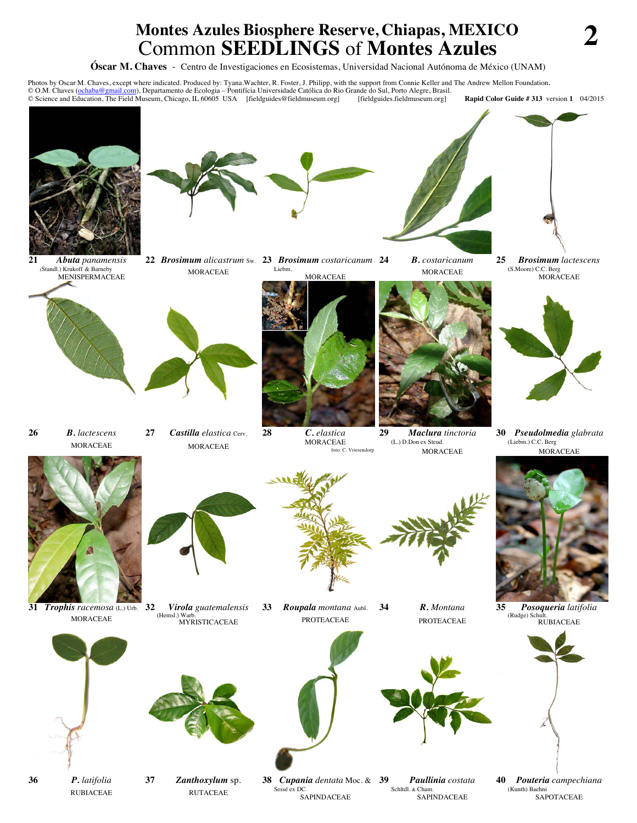## **Montes Azules Biosphere Reserve, Chiapas, MEXICO Common SEEDLINGS** of **Montes Azules**

**Óscar M. Chaves** - Centro de Investigaciones en Ecosistemas, Universidad Nacional Autónoma de México (UNAM)